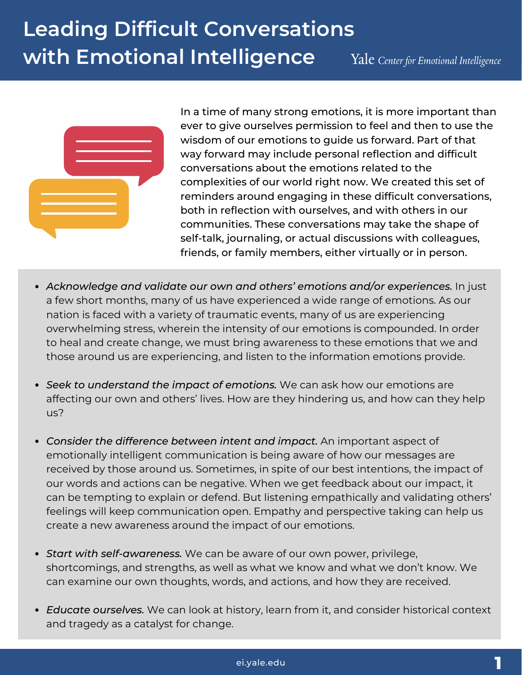

In a time of many strong emotions, it is more important than ever to give ourselves permission to feel and then to use the wisdom of our emotions to guide us forward. Part of that way forward may include personal reflection and difficult conversations about the emotions related to the complexities of our world right now. We created this set of reminders around engaging in these difficult conversations, both in reflection with ourselves, and with others in our communities. These conversations may take the shape of self-talk, journaling, or actual discussions with colleagues, friends, or family members, either virtually or in person.

- *Acknowledge and validate our own and others' emotions and/or experiences.* In just a few short months, many of us have experienced a wide range of emotions. As our nation is faced with a variety of traumatic events, many of us are experiencing overwhelming stress, wherein the intensity of our emotions is compounded. In order to heal and create change, we must bring awareness to these emotions that we and those around us are experiencing, and listen to the information emotions provide.
- *Seek to understand the impact of emotions.* We can ask how our emotions are affecting our own and others' lives. How are they hindering us, and how can they help us?
- *Consider the difference between intent and impact.* An important aspect of emotionally intelligent communication is being aware of how our messages are received by those around us. Sometimes, in spite of our best intentions, the impact of our words and actions can be negative. When we get feedback about our impact, it can be tempting to explain or defend. But listening empathically and validating others' feelings will keep communication open. Empathy and perspective taking can help us create a new awareness around the impact of our emotions.
- *Start with self-awareness.* We can be aware of our own power, privilege, shortcomings, and strengths, as well as what we know and what we don't know. We can examine our own thoughts, words, and actions, and how they are received.
- *Educate ourselves.* We can look at history, learn from it, and consider historical context and tragedy as a catalyst for change.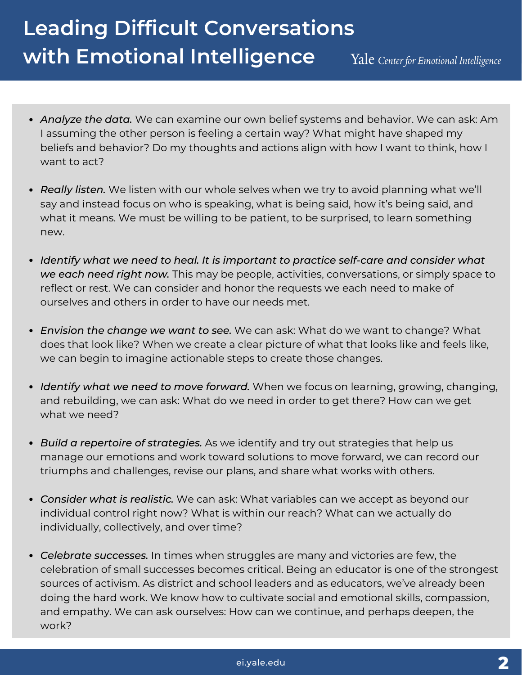# **Leading Difficult Conversations with Emotional Intelligence**

Yale Center for Emotional Intelligence

- *Analyze the data.* We can examine our own belief systems and behavior. We can ask: Am I assuming the other person is feeling a certain way? What might have shaped my beliefs and behavior? Do my thoughts and actions align with how I want to think, how I want to act?
- *Really listen.* We listen with our whole selves when we try to avoid planning what we'll say and instead focus on who is speaking, what is being said, how it's being said, and what it means. We must be willing to be patient, to be surprised, to learn something new.
- *Identify what we need to heal. It is important to practice self-care and consider what we each need right now.* This may be people, activities, conversations, or simply space to reflect or rest. We can consider and honor the requests we each need to make of ourselves and others in order to have our needs met.
- *Envision the change we want to see.* We can ask: What do we want to change? What does that look like? When we create a clear picture of what that looks like and feels like, we can begin to imagine actionable steps to create those changes.
- *Identify what we need to move forward.* When we focus on learning, growing, changing, and rebuilding, we can ask: What do we need in order to get there? How can we get what we need?
- *Build a repertoire of strategies.* As we identify and try out strategies that help us manage our emotions and work toward solutions to move forward, we can record our triumphs and challenges, revise our plans, and share what works with others.
- *Consider what is realistic.* We can ask: What variables can we accept as beyond our individual control right now? What is within our reach? What can we actually do individually, collectively, and over time?
- *Celebrate successes.* In times when struggles are many and victories are few, the celebration of small successes becomes critical. Being an educator is one of the strongest sources of activism. As district and school leaders and as educators, we've already been doing the hard work. We know how to cultivate social and emotional skills, compassion, and empathy. We can ask ourselves: How can we continue, and perhaps deepen, the work?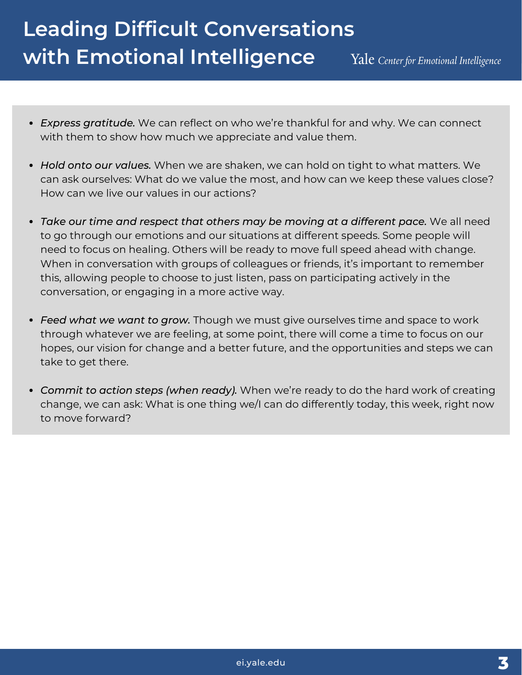# **Leading Difficult Conversations with Emotional Intelligence**

Yale Center for Emotional Intelligence

- *Express gratitude.* We can reflect on who we're thankful for and why. We can connect with them to show how much we appreciate and value them.
- *Hold onto our values.* When we are shaken, we can hold on tight to what matters. We can ask ourselves: What do we value the most, and how can we keep these values close? How can we live our values in our actions?
- *Take our time and respect that others may be moving at a different pace.* We all need to go through our emotions and our situations at different speeds. Some people will need to focus on healing. Others will be ready to move full speed ahead with change. When in conversation with groups of colleagues or friends, it's important to remember this, allowing people to choose to just listen, pass on participating actively in the conversation, or engaging in a more active way.
- *Feed what we want to grow.* Though we must give ourselves time and space to work through whatever we are feeling, at some point, there will come a time to focus on our hopes, our vision for change and a better future, and the opportunities and steps we can take to get there.
- *Commit to action steps (when ready).* When we're ready to do the hard work of creating change, we can ask: What is one thing we/I can do differently today, this week, right now to move forward?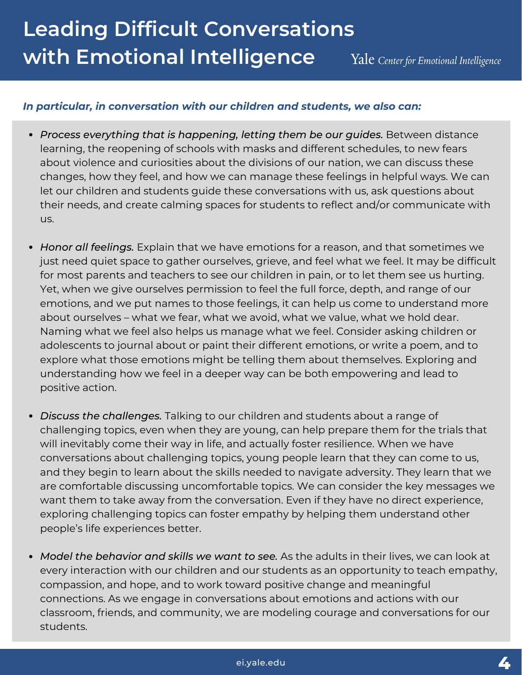## **Leading Difficult Conversations with Emotional Intelligence** Yale Center for Emotional Intelligence

### *In particular, in conversation with our children and students, we also can:*

- *Process everything that is happening, letting them be our guides.* Between distance learning, the reopening of schools with masks and different schedules, to new fears about violence and curiosities about the divisions of our nation, we can discuss these changes, how they feel, and how we can manage these feelings in helpful ways. We can let our children and students guide these conversations with us, ask questions about their needs, and create calming spaces for students to reflect and/or communicate with us.
- *Honor all feelings.* Explain that we have emotions for a reason, and that sometimes we just need quiet space to gather ourselves, grieve, and feel what we feel. It may be difficult for most parents and teachers to see our children in pain, or to let them see us hurting. Yet, when we give ourselves permission to feel the full force, depth, and range of our emotions, and we put names to those feelings, it can help us come to understand more about ourselves – what we fear, what we avoid, what we value, what we hold dear. Naming what we feel also helps us manage what we feel. Consider asking children or adolescents to journal about or paint their different emotions, or write a poem, and to explore what those emotions might be telling them about themselves. Exploring and understanding how we feel in a deeper way can be both empowering and lead to positive action.
- *Discuss the challenges.* Talking to our children and students about a range of challenging topics, even when they are young, can help prepare them for the trials that will inevitably come their way in life, and actually foster resilience. When we have conversations about challenging topics, young people learn that they can come to us, and they begin to learn about the skills needed to navigate adversity. They learn that we are comfortable discussing uncomfortable topics. We can consider the key messages we want them to take away from the conversation. Even if they have no direct experience, exploring challenging topics can foster empathy by helping them understand other people's life experiences better.
- *Model the behavior and skills we want to see.* As the adults in their lives, we can look at every interaction with our children and our students as an opportunity to teach empathy, compassion, and hope, and to work toward positive change and meaningful connections. As we engage in conversations about emotions and actions with our classroom, friends, and community, we are modeling courage and conversations for our students.